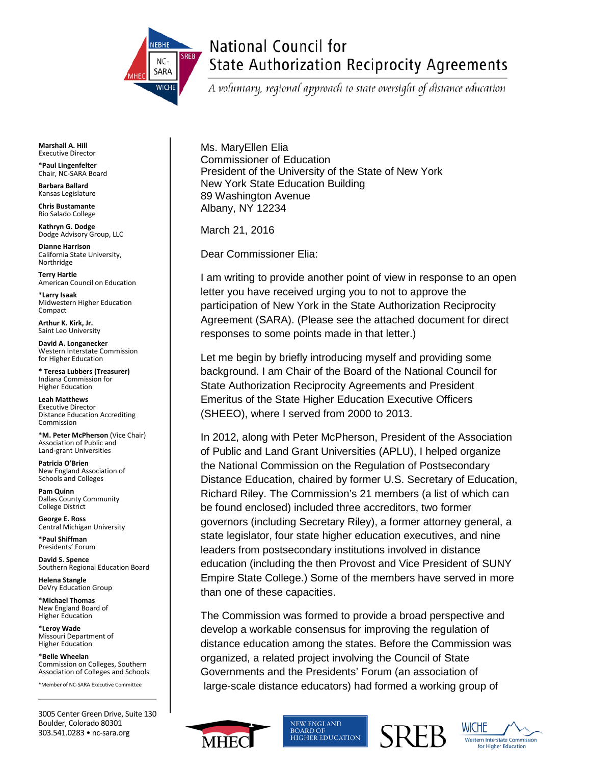

# National Council for **State Authorization Reciprocity Agreements**

A voluntary, regional approach to state oversight of distance education

**Marshall A. Hill** Executive Director

\***Paul Lingenfelter** Chair, NC-SARA Board

**Barbara Ballard** Kansas Legislature

**Chris Bustamante** Rio Salado College

**Kathryn G. Dodge** Dodge Advisory Group, LLC

**Dianne Harrison** California State University, Northridge

**Terry Hartle** American Council on Education

\***Larry Isaak** Midwestern Higher Education Compact

**Arthur K. Kirk, Jr.** Saint Leo University

**David A. Longanecker** Western Interstate Commission for Higher Education

**\* Teresa Lubbers (Treasurer)** Indiana Commission for Higher Education

**Leah Matthews** Executive Director Distance Education Accrediting Commission

\***M. Peter McPherson** (Vice Chair) Association of Public and Land-grant Universities

**Patricia O'Brien** New England Association of Schools and Colleges

**Pam Quinn** Dallas County Community College District

**George E. Ross** Central Michigan University

\***Paul Shiffman** Presidents' Forum

**David S. Spence** Southern Regional Education Board

**Helena Stangle** DeVry Education Group

\***Michael Thomas** New England Board of Higher Education

\***Leroy Wade** Missouri Department of Higher Education

\***Belle Wheelan** Commission on Colleges, Southern Association of Colleges and Schools

\*Member of NC-SARA Executive Committee

3005 Center Green Drive, Suite 130 Boulder, Colorado 80301 303.541.0283 • nc-sara.org

Ms. MaryEllen Elia Commissioner of Education President of the University of the State of New York New York State Education Building 89 Washington Avenue Albany, NY 12234

March 21, 2016

Dear Commissioner Elia:

I am writing to provide another point of view in response to an open letter you have received urging you to not to approve the participation of New York in the State Authorization Reciprocity Agreement (SARA). (Please see the attached document for direct responses to some points made in that letter.)

Let me begin by briefly introducing myself and providing some background. I am Chair of the Board of the National Council for State Authorization Reciprocity Agreements and President Emeritus of the State Higher Education Executive Officers (SHEEO), where I served from 2000 to 2013.

In 2012, along with Peter McPherson, President of the Association of Public and Land Grant Universities (APLU), I helped organize the National Commission on the Regulation of Postsecondary Distance Education, chaired by former U.S. Secretary of Education, Richard Riley. The Commission's 21 members (a list of which can be found enclosed) included three accreditors, two former governors (including Secretary Riley), a former attorney general, a state legislator, four state higher education executives, and nine leaders from postsecondary institutions involved in distance education (including the then Provost and Vice President of SUNY Empire State College.) Some of the members have served in more than one of these capacities.

The Commission was formed to provide a broad perspective and develop a workable consensus for improving the regulation of distance education among the states. Before the Commission was organized, a related project involving the Council of State Governments and the Presidents' Forum (an association of large-scale distance educators) had formed a working group of







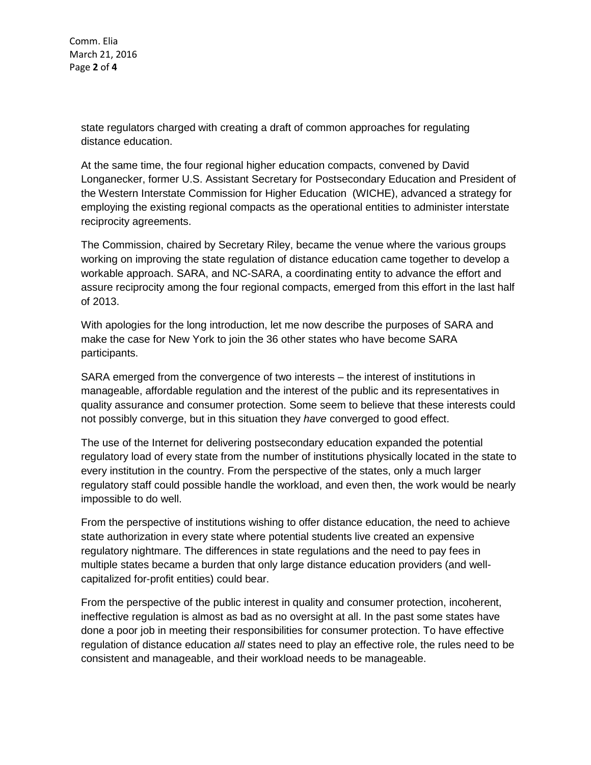Comm. Elia March 21, 2016 Page **2** of **4**

> state regulators charged with creating a draft of common approaches for regulating distance education.

At the same time, the four regional higher education compacts, convened by David Longanecker, former U.S. Assistant Secretary for Postsecondary Education and President of the Western Interstate Commission for Higher Education (WICHE), advanced a strategy for employing the existing regional compacts as the operational entities to administer interstate reciprocity agreements.

The Commission, chaired by Secretary Riley, became the venue where the various groups working on improving the state regulation of distance education came together to develop a workable approach. SARA, and NC-SARA, a coordinating entity to advance the effort and assure reciprocity among the four regional compacts, emerged from this effort in the last half of 2013.

With apologies for the long introduction, let me now describe the purposes of SARA and make the case for New York to join the 36 other states who have become SARA participants.

SARA emerged from the convergence of two interests – the interest of institutions in manageable, affordable regulation and the interest of the public and its representatives in quality assurance and consumer protection. Some seem to believe that these interests could not possibly converge, but in this situation they *have* converged to good effect.

The use of the Internet for delivering postsecondary education expanded the potential regulatory load of every state from the number of institutions physically located in the state to every institution in the country. From the perspective of the states, only a much larger regulatory staff could possible handle the workload, and even then, the work would be nearly impossible to do well.

From the perspective of institutions wishing to offer distance education, the need to achieve state authorization in every state where potential students live created an expensive regulatory nightmare. The differences in state regulations and the need to pay fees in multiple states became a burden that only large distance education providers (and wellcapitalized for-profit entities) could bear.

From the perspective of the public interest in quality and consumer protection, incoherent, ineffective regulation is almost as bad as no oversight at all. In the past some states have done a poor job in meeting their responsibilities for consumer protection. To have effective regulation of distance education *all* states need to play an effective role, the rules need to be consistent and manageable, and their workload needs to be manageable.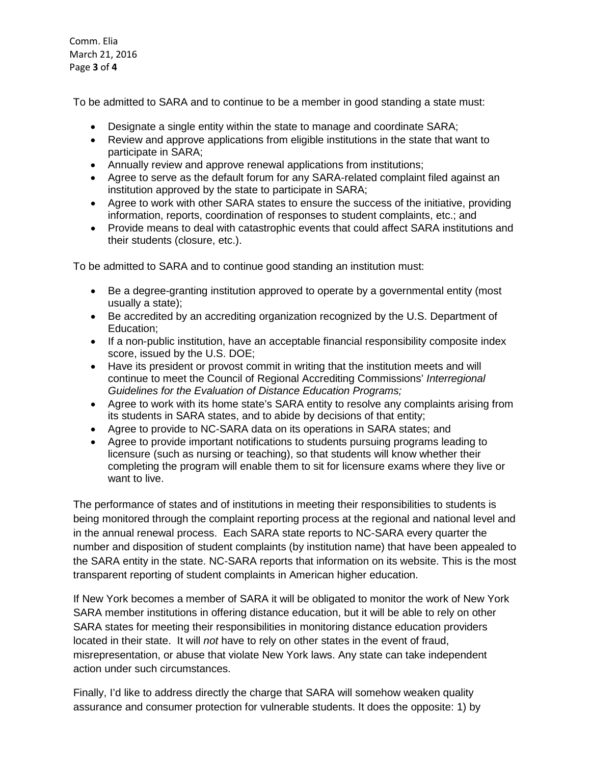Comm. Elia March 21, 2016 Page **3** of **4**

To be admitted to SARA and to continue to be a member in good standing a state must:

- Designate a single entity within the state to manage and coordinate SARA;
- Review and approve applications from eligible institutions in the state that want to participate in SARA;
- Annually review and approve renewal applications from institutions;
- Agree to serve as the default forum for any SARA-related complaint filed against an institution approved by the state to participate in SARA;
- Agree to work with other SARA states to ensure the success of the initiative, providing information, reports, coordination of responses to student complaints, etc.; and
- Provide means to deal with catastrophic events that could affect SARA institutions and their students (closure, etc.).

To be admitted to SARA and to continue good standing an institution must:

- Be a degree-granting institution approved to operate by a governmental entity (most usually a state);
- Be accredited by an accrediting organization recognized by the U.S. Department of Education;
- If a non-public institution, have an acceptable financial responsibility composite index score, issued by the U.S. DOE;
- Have its president or provost commit in writing that the institution meets and will continue to meet the Council of Regional Accrediting Commissions' *Interregional Guidelines for the Evaluation of Distance Education Programs;*
- Agree to work with its home state's SARA entity to resolve any complaints arising from its students in SARA states, and to abide by decisions of that entity;
- Agree to provide to NC-SARA data on its operations in SARA states; and
- Agree to provide important notifications to students pursuing programs leading to licensure (such as nursing or teaching), so that students will know whether their completing the program will enable them to sit for licensure exams where they live or want to live.

The performance of states and of institutions in meeting their responsibilities to students is being monitored through the complaint reporting process at the regional and national level and in the annual renewal process. Each SARA state reports to NC-SARA every quarter the number and disposition of student complaints (by institution name) that have been appealed to the SARA entity in the state. NC-SARA reports that information on its website. This is the most transparent reporting of student complaints in American higher education.

If New York becomes a member of SARA it will be obligated to monitor the work of New York SARA member institutions in offering distance education, but it will be able to rely on other SARA states for meeting their responsibilities in monitoring distance education providers located in their state. It will *not* have to rely on other states in the event of fraud, misrepresentation, or abuse that violate New York laws. Any state can take independent action under such circumstances.

Finally, I'd like to address directly the charge that SARA will somehow weaken quality assurance and consumer protection for vulnerable students. It does the opposite: 1) by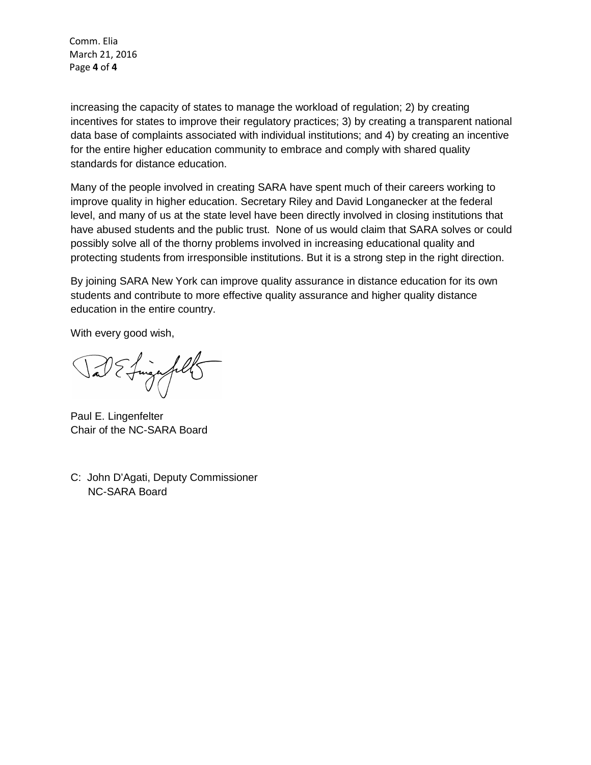Comm. Elia March 21, 2016 Page **4** of **4**

increasing the capacity of states to manage the workload of regulation; 2) by creating incentives for states to improve their regulatory practices; 3) by creating a transparent national data base of complaints associated with individual institutions; and 4) by creating an incentive for the entire higher education community to embrace and comply with shared quality standards for distance education.

Many of the people involved in creating SARA have spent much of their careers working to improve quality in higher education. Secretary Riley and David Longanecker at the federal level, and many of us at the state level have been directly involved in closing institutions that have abused students and the public trust. None of us would claim that SARA solves or could possibly solve all of the thorny problems involved in increasing educational quality and protecting students from irresponsible institutions. But it is a strong step in the right direction.

By joining SARA New York can improve quality assurance in distance education for its own students and contribute to more effective quality assurance and higher quality distance education in the entire country.

With every good wish,

finge fill

Paul E. Lingenfelter Chair of the NC-SARA Board

C: John D'Agati, Deputy Commissioner NC-SARA Board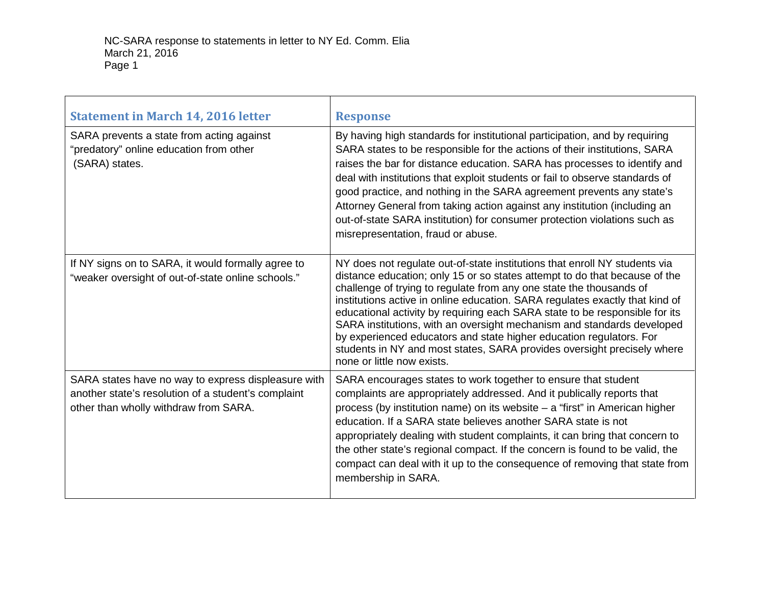| <b>Statement in March 14, 2016 letter</b>                                                                                                           | <b>Response</b>                                                                                                                                                                                                                                                                                                                                                                                                                                                                                                                                                                                                                                          |
|-----------------------------------------------------------------------------------------------------------------------------------------------------|----------------------------------------------------------------------------------------------------------------------------------------------------------------------------------------------------------------------------------------------------------------------------------------------------------------------------------------------------------------------------------------------------------------------------------------------------------------------------------------------------------------------------------------------------------------------------------------------------------------------------------------------------------|
| SARA prevents a state from acting against<br>"predatory" online education from other<br>(SARA) states.                                              | By having high standards for institutional participation, and by requiring<br>SARA states to be responsible for the actions of their institutions, SARA<br>raises the bar for distance education. SARA has processes to identify and<br>deal with institutions that exploit students or fail to observe standards of<br>good practice, and nothing in the SARA agreement prevents any state's<br>Attorney General from taking action against any institution (including an<br>out-of-state SARA institution) for consumer protection violations such as<br>misrepresentation, fraud or abuse.                                                            |
| If NY signs on to SARA, it would formally agree to<br>"weaker oversight of out-of-state online schools."                                            | NY does not regulate out-of-state institutions that enroll NY students via<br>distance education; only 15 or so states attempt to do that because of the<br>challenge of trying to regulate from any one state the thousands of<br>institutions active in online education. SARA regulates exactly that kind of<br>educational activity by requiring each SARA state to be responsible for its<br>SARA institutions, with an oversight mechanism and standards developed<br>by experienced educators and state higher education regulators. For<br>students in NY and most states, SARA provides oversight precisely where<br>none or little now exists. |
| SARA states have no way to express displeasure with<br>another state's resolution of a student's complaint<br>other than wholly withdraw from SARA. | SARA encourages states to work together to ensure that student<br>complaints are appropriately addressed. And it publically reports that<br>process (by institution name) on its website - a "first" in American higher<br>education. If a SARA state believes another SARA state is not<br>appropriately dealing with student complaints, it can bring that concern to<br>the other state's regional compact. If the concern is found to be valid, the<br>compact can deal with it up to the consequence of removing that state from<br>membership in SARA.                                                                                             |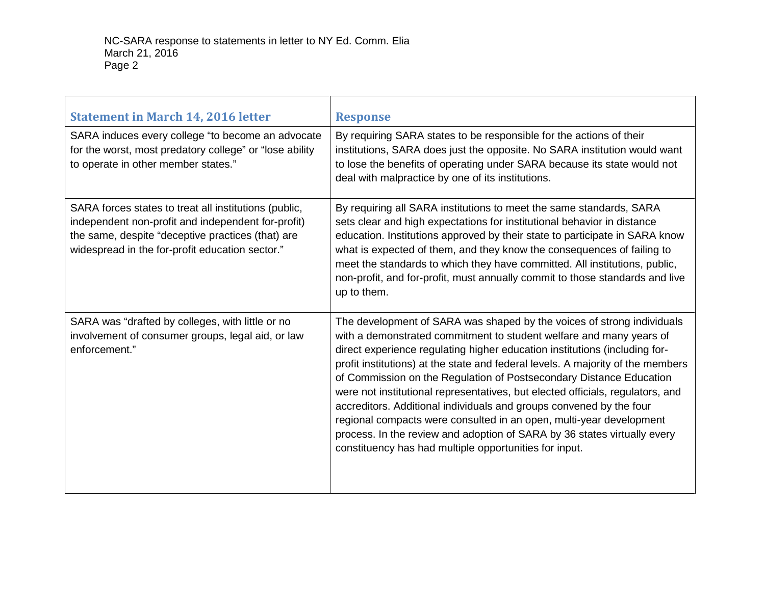| <b>Statement in March 14, 2016 letter</b>                                                                                                                                                                           | <b>Response</b>                                                                                                                                                                                                                                                                                                                                                                                                                                                                                                                                                                                                                                                                                                                                             |
|---------------------------------------------------------------------------------------------------------------------------------------------------------------------------------------------------------------------|-------------------------------------------------------------------------------------------------------------------------------------------------------------------------------------------------------------------------------------------------------------------------------------------------------------------------------------------------------------------------------------------------------------------------------------------------------------------------------------------------------------------------------------------------------------------------------------------------------------------------------------------------------------------------------------------------------------------------------------------------------------|
| SARA induces every college "to become an advocate<br>for the worst, most predatory college" or "lose ability<br>to operate in other member states."                                                                 | By requiring SARA states to be responsible for the actions of their<br>institutions, SARA does just the opposite. No SARA institution would want<br>to lose the benefits of operating under SARA because its state would not<br>deal with malpractice by one of its institutions.                                                                                                                                                                                                                                                                                                                                                                                                                                                                           |
| SARA forces states to treat all institutions (public,<br>independent non-profit and independent for-profit)<br>the same, despite "deceptive practices (that) are<br>widespread in the for-profit education sector." | By requiring all SARA institutions to meet the same standards, SARA<br>sets clear and high expectations for institutional behavior in distance<br>education. Institutions approved by their state to participate in SARA know<br>what is expected of them, and they know the consequences of failing to<br>meet the standards to which they have committed. All institutions, public,<br>non-profit, and for-profit, must annually commit to those standards and live<br>up to them.                                                                                                                                                                                                                                                                        |
| SARA was "drafted by colleges, with little or no<br>involvement of consumer groups, legal aid, or law<br>enforcement."                                                                                              | The development of SARA was shaped by the voices of strong individuals<br>with a demonstrated commitment to student welfare and many years of<br>direct experience regulating higher education institutions (including for-<br>profit institutions) at the state and federal levels. A majority of the members<br>of Commission on the Regulation of Postsecondary Distance Education<br>were not institutional representatives, but elected officials, regulators, and<br>accreditors. Additional individuals and groups convened by the four<br>regional compacts were consulted in an open, multi-year development<br>process. In the review and adoption of SARA by 36 states virtually every<br>constituency has had multiple opportunities for input. |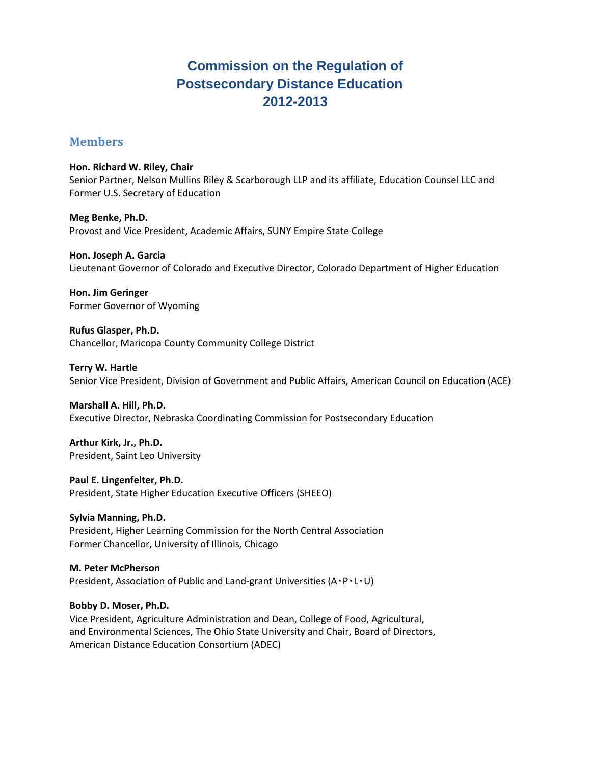# **Commission on the Regulation of Postsecondary Distance Education 2012-2013**

## **Members**

**Hon. Richard W. Riley, Chair** Senior Partner, Nelson Mullins Riley & Scarborough LLP and its affiliate, Education Counsel LLC and Former U.S. Secretary of Education

**Meg Benke, Ph.D.**  Provost and Vice President, Academic Affairs, SUNY Empire State College

**Hon. Joseph A. Garcia** Lieutenant Governor of Colorado and Executive Director, Colorado Department of Higher Education

**Hon. Jim Geringer** Former Governor of Wyoming

**Rufus Glasper, Ph.D.**  Chancellor, Maricopa County Community College District

**Terry W. Hartle**  Senior Vice President, Division of Government and Public Affairs, American Council on Education (ACE)

**Marshall A. Hill, Ph.D.**  Executive Director, Nebraska Coordinating Commission for Postsecondary Education

**Arthur Kirk, Jr., Ph.D.**  President, Saint Leo University

**Paul E. Lingenfelter, Ph.D.**  President, State Higher Education Executive Officers (SHEEO)

**Sylvia Manning, Ph.D.**  President, Higher Learning Commission for the North Central Association Former Chancellor, University of Illinois, Chicago

#### **M. Peter McPherson**

President, Association of Public and Land-grant Universities (A۰P۰L۰U)

#### **Bobby D. Moser, Ph.D.**

Vice President, Agriculture Administration and Dean, College of Food, Agricultural, and Environmental Sciences, The Ohio State University and Chair, Board of Directors, American Distance Education Consortium (ADEC)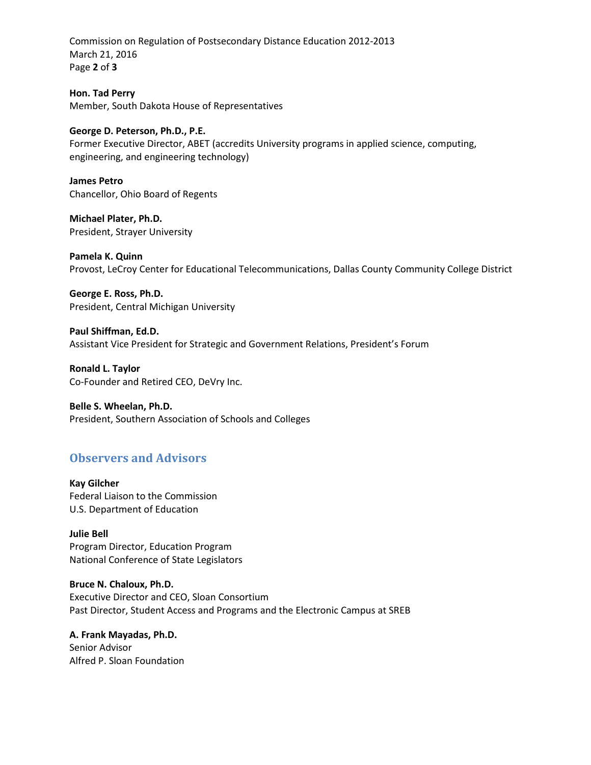Commission on Regulation of Postsecondary Distance Education 2012-2013 March 21, 2016 Page **2** of **3**

**Hon. Tad Perry** Member, South Dakota House of Representatives

#### **George D. Peterson, Ph.D., P.E.**

Former Executive Director, ABET (accredits University programs in applied science, computing, engineering, and engineering technology)

**James Petro** Chancellor, Ohio Board of Regents

**Michael Plater, Ph.D.**  President, Strayer University

**Pamela K. Quinn**  Provost, LeCroy Center for Educational Telecommunications, Dallas County Community College District

**George E. Ross, Ph.D.**  President, Central Michigan University

**Paul Shiffman, Ed.D.** Assistant Vice President for Strategic and Government Relations, President's Forum

**Ronald L. Taylor** Co-Founder and Retired CEO, DeVry Inc.

#### **Belle S. Wheelan, Ph.D.**

President, Southern Association of Schools and Colleges

# **Observers and Advisors**

**Kay Gilcher**  Federal Liaison to the Commission U.S. Department of Education

**Julie Bell** Program Director, Education Program National Conference of State Legislators

**Bruce N. Chaloux, Ph.D.** Executive Director and CEO, Sloan Consortium Past Director, Student Access and Programs and the Electronic Campus at SREB

**A. Frank Mayadas, Ph.D.** Senior Advisor Alfred P. Sloan Foundation